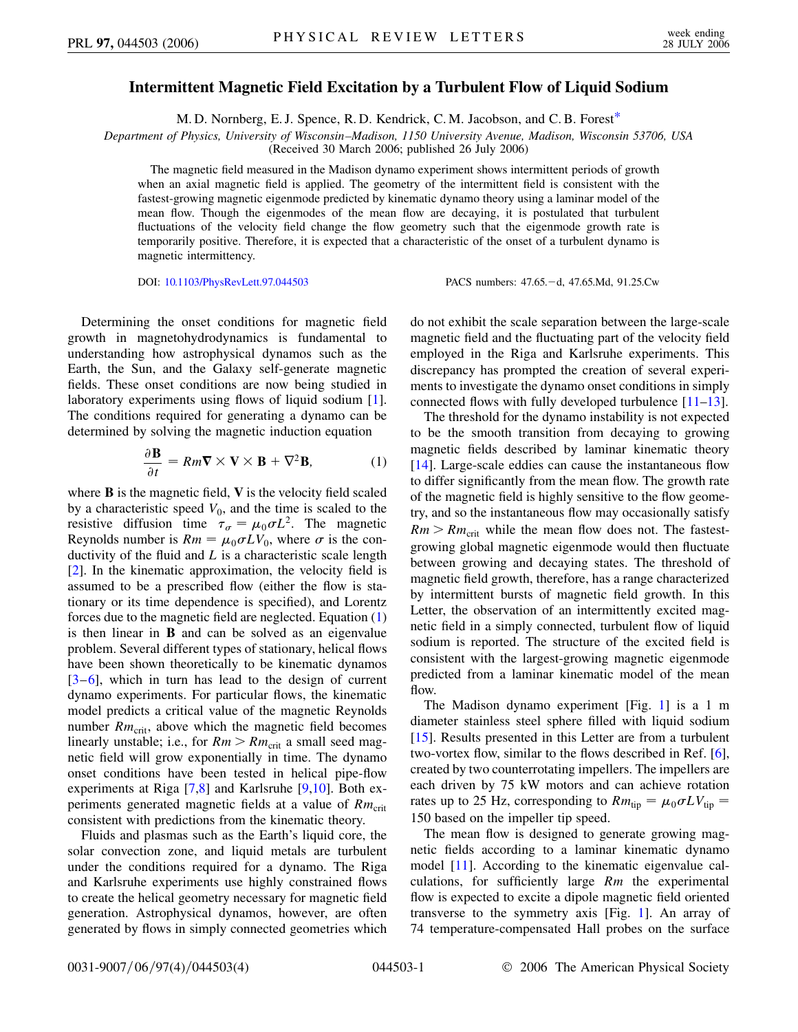## **Intermittent Magnetic Field Excitation by a Turbulent Flow of Liquid Sodium**

M. D. Nornberg, E. J. Spence, R. D. Kendrick, C. M. Jacobson, and C. B. Fores[t\\*](#page-3-0)

<span id="page-0-1"></span>*Department of Physics, University of Wisconsin–Madison, 1150 University Avenue, Madison, Wisconsin 53706, USA*

(Received 30 March 2006; published 26 July 2006)

The magnetic field measured in the Madison dynamo experiment shows intermittent periods of growth when an axial magnetic field is applied. The geometry of the intermittent field is consistent with the fastest-growing magnetic eigenmode predicted by kinematic dynamo theory using a laminar model of the mean flow. Though the eigenmodes of the mean flow are decaying, it is postulated that turbulent fluctuations of the velocity field change the flow geometry such that the eigenmode growth rate is temporarily positive. Therefore, it is expected that a characteristic of the onset of a turbulent dynamo is magnetic intermittency.

DOI: [10.1103/PhysRevLett.97.044503](http://dx.doi.org/10.1103/PhysRevLett.97.044503) PACS numbers: 47.65.d, 47.65.Md, 91.25.Cw

Determining the onset conditions for magnetic field growth in magnetohydrodynamics is fundamental to understanding how astrophysical dynamos such as the Earth, the Sun, and the Galaxy self-generate magnetic fields. These onset conditions are now being studied in laboratory experiments using flows of liquid sodium [[1\]](#page-3-1). The conditions required for generating a dynamo can be determined by solving the magnetic induction equation

$$
\frac{\partial \mathbf{B}}{\partial t} = Rm \nabla \times \mathbf{V} \times \mathbf{B} + \nabla^2 \mathbf{B}, \tag{1}
$$

<span id="page-0-0"></span>where **B** is the magnetic field, **V** is the velocity field scaled by a characteristic speed  $V_0$ , and the time is scaled to the resistive diffusion time  $\tau_{\sigma} = \mu_0 \sigma L^2$ . The magnetic Reynolds number is  $Rm = \mu_0 \sigma L V_0$ , where  $\sigma$  is the conductivity of the fluid and *L* is a characteristic scale length [\[2\]](#page-3-2). In the kinematic approximation, the velocity field is assumed to be a prescribed flow (either the flow is stationary or its time dependence is specified), and Lorentz forces due to the magnetic field are neglected. Equation [\(1\)](#page-0-0) is then linear in **B** and can be solved as an eigenvalue problem. Several different types of stationary, helical flows have been shown theoretically to be kinematic dynamos  $[3-6]$  $[3-6]$  $[3-6]$ , which in turn has lead to the design of current dynamo experiments. For particular flows, the kinematic model predicts a critical value of the magnetic Reynolds number  $Rm_{\text{crit}}$ , above which the magnetic field becomes linearly unstable; i.e., for  $Rm > Rm_{\text{crit}}$  a small seed magnetic field will grow exponentially in time. The dynamo onset conditions have been tested in helical pipe-flow experiments at Riga [[7,](#page-3-5)[8\]](#page-3-6) and Karlsruhe [[9](#page-3-7),[10](#page-3-8)]. Both experiments generated magnetic fields at a value of *Rm*<sub>crit</sub> consistent with predictions from the kinematic theory.

Fluids and plasmas such as the Earth's liquid core, the solar convection zone, and liquid metals are turbulent under the conditions required for a dynamo. The Riga and Karlsruhe experiments use highly constrained flows to create the helical geometry necessary for magnetic field generation. Astrophysical dynamos, however, are often generated by flows in simply connected geometries which do not exhibit the scale separation between the large-scale magnetic field and the fluctuating part of the velocity field employed in the Riga and Karlsruhe experiments. This discrepancy has prompted the creation of several experiments to investigate the dynamo onset conditions in simply connected flows with fully developed turbulence  $[11-13]$  $[11-13]$  $[11-13]$  $[11-13]$  $[11-13]$ .

The threshold for the dynamo instability is not expected to be the smooth transition from decaying to growing magnetic fields described by laminar kinematic theory [\[14\]](#page-3-11). Large-scale eddies can cause the instantaneous flow to differ significantly from the mean flow. The growth rate of the magnetic field is highly sensitive to the flow geometry, and so the instantaneous flow may occasionally satisfy  $Rm > Rm_{\text{crit}}$  while the mean flow does not. The fastestgrowing global magnetic eigenmode would then fluctuate between growing and decaying states. The threshold of magnetic field growth, therefore, has a range characterized by intermittent bursts of magnetic field growth. In this Letter, the observation of an intermittently excited magnetic field in a simply connected, turbulent flow of liquid sodium is reported. The structure of the excited field is consistent with the largest-growing magnetic eigenmode predicted from a laminar kinematic model of the mean flow.

The Madison dynamo experiment [Fig. [1\]](#page-1-0) is a 1 m diameter stainless steel sphere filled with liquid sodium [\[15\]](#page-3-12). Results presented in this Letter are from a turbulent two-vortex flow, similar to the flows described in Ref. [[6\]](#page-3-4), created by two counterrotating impellers. The impellers are each driven by 75 kW motors and can achieve rotation rates up to 25 Hz, corresponding to  $Rm_{\text{tip}} = \mu_0 \sigma L V_{\text{tip}} =$ 150 based on the impeller tip speed.

The mean flow is designed to generate growing magnetic fields according to a laminar kinematic dynamo model [\[11\]](#page-3-9). According to the kinematic eigenvalue calculations, for sufficiently large *Rm* the experimental flow is expected to excite a dipole magnetic field oriented transverse to the symmetry axis [Fig. [1\]](#page-1-0). An array of 74 temperature-compensated Hall probes on the surface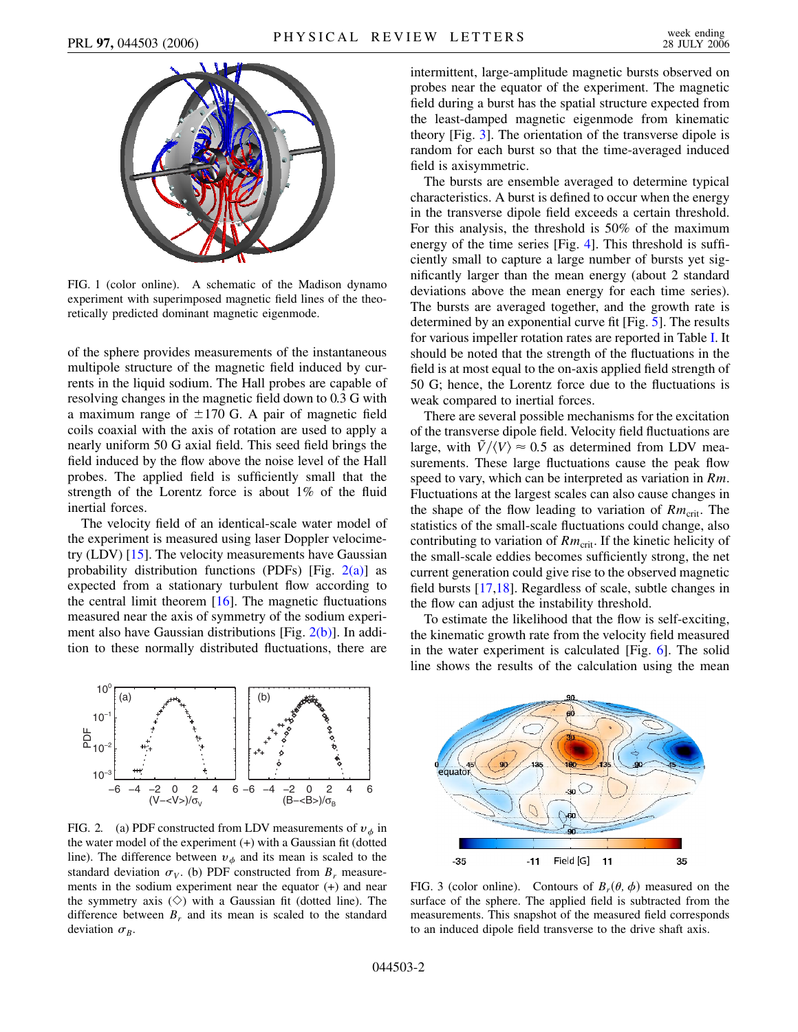<span id="page-1-0"></span>

FIG. 1 (color online). A schematic of the Madison dynamo experiment with superimposed magnetic field lines of the theoretically predicted dominant magnetic eigenmode.

of the sphere provides measurements of the instantaneous multipole structure of the magnetic field induced by currents in the liquid sodium. The Hall probes are capable of resolving changes in the magnetic field down to 0.3 G with a maximum range of  $\pm 170$  G. A pair of magnetic field coils coaxial with the axis of rotation are used to apply a nearly uniform 50 G axial field. This seed field brings the field induced by the flow above the noise level of the Hall probes. The applied field is sufficiently small that the strength of the Lorentz force is about 1% of the fluid inertial forces.

The velocity field of an identical-scale water model of the experiment is measured using laser Doppler velocimetry (LDV) [\[15\]](#page-3-12). The velocity measurements have Gaussian probability distribution functions (PDFs) [Fig.  $2(a)$ ] as expected from a stationary turbulent flow according to the central limit theorem [[16](#page-3-13)]. The magnetic fluctuations measured near the axis of symmetry of the sodium experiment also have Gaussian distributions [Fig. [2\(b\)\]](#page-1-1). In addition to these normally distributed fluctuations, there are



<span id="page-1-1"></span>FIG. 2. (a) PDF constructed from LDV measurements of  $v_{\phi}$  in the water model of the experiment  $(+)$  with a Gaussian fit (dotted line). The difference between  $v_{\phi}$  and its mean is scaled to the standard deviation  $\sigma_V$ . (b) PDF constructed from  $B_r$  measurements in the sodium experiment near the equator (+) and near the symmetry axis  $(\Diamond)$  with a Gaussian fit (dotted line). The difference between  $B_r$  and its mean is scaled to the standard deviation  $\sigma_B$ .

intermittent, large-amplitude magnetic bursts observed on probes near the equator of the experiment. The magnetic field during a burst has the spatial structure expected from the least-damped magnetic eigenmode from kinematic theory [Fig. [3](#page-1-2)]. The orientation of the transverse dipole is random for each burst so that the time-averaged induced field is axisymmetric.

The bursts are ensemble averaged to determine typical characteristics. A burst is defined to occur when the energy in the transverse dipole field exceeds a certain threshold. For this analysis, the threshold is 50% of the maximum energy of the time series [Fig. [4\]](#page-2-0). This threshold is sufficiently small to capture a large number of bursts yet significantly larger than the mean energy (about 2 standard deviations above the mean energy for each time series). The bursts are averaged together, and the growth rate is determined by an exponential curve fit [Fig. [5](#page-2-1)]. The results for various impeller rotation rates are reported in Table [I.](#page-2-2) It should be noted that the strength of the fluctuations in the field is at most equal to the on-axis applied field strength of 50 G; hence, the Lorentz force due to the fluctuations is weak compared to inertial forces.

There are several possible mechanisms for the excitation of the transverse dipole field. Velocity field fluctuations are large, with  $\bar{V}/\langle V\rangle \approx 0.5$  as determined from LDV measurements. These large fluctuations cause the peak flow speed to vary, which can be interpreted as variation in *Rm*. Fluctuations at the largest scales can also cause changes in the shape of the flow leading to variation of  $Rm_{\text{crit}}$ . The statistics of the small-scale fluctuations could change, also contributing to variation of  $Rm_{\text{crit}}$ . If the kinetic helicity of the small-scale eddies becomes sufficiently strong, the net current generation could give rise to the observed magnetic field bursts [[17](#page-3-14),[18](#page-3-15)]. Regardless of scale, subtle changes in the flow can adjust the instability threshold.

To estimate the likelihood that the flow is self-exciting, the kinematic growth rate from the velocity field measured in the water experiment is calculated [Fig. [6](#page-2-3)]. The solid line shows the results of the calculation using the mean

<span id="page-1-2"></span>

FIG. 3 (color online). Contours of  $B_r(\theta, \phi)$  measured on the surface of the sphere. The applied field is subtracted from the measurements. This snapshot of the measured field corresponds to an induced dipole field transverse to the drive shaft axis.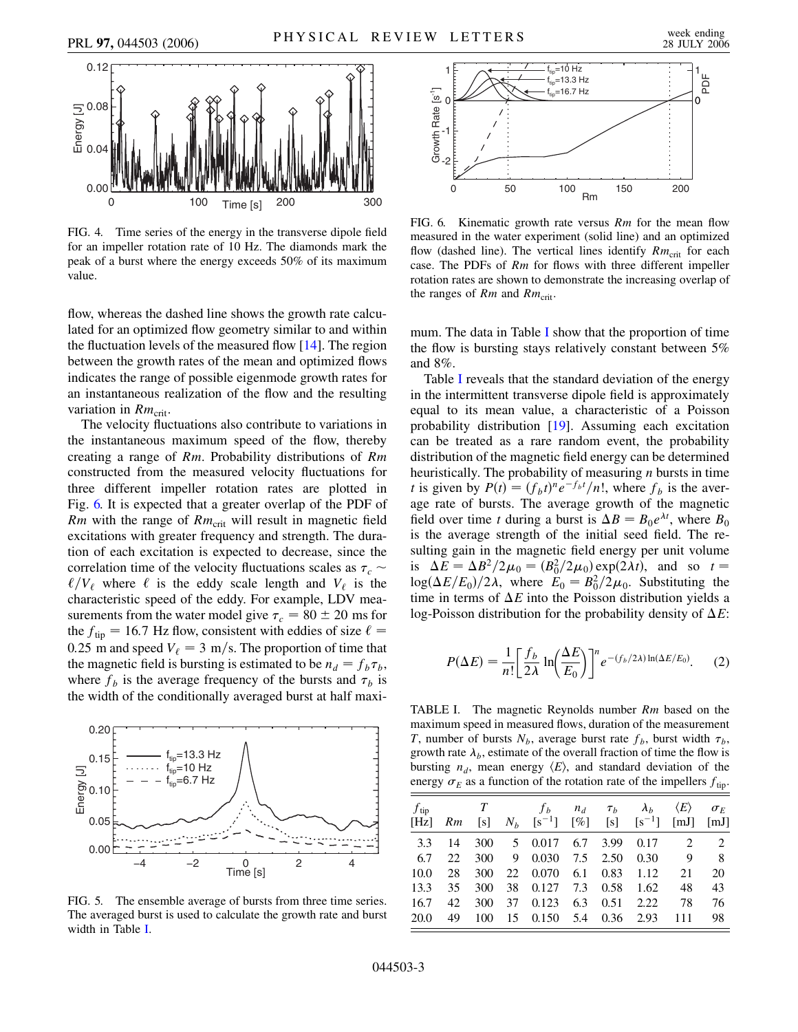<span id="page-2-0"></span>

FIG. 4. Time series of the energy in the transverse dipole field for an impeller rotation rate of 10 Hz. The diamonds mark the peak of a burst where the energy exceeds 50% of its maximum value.

flow, whereas the dashed line shows the growth rate calculated for an optimized flow geometry similar to and within the fluctuation levels of the measured flow  $[14]$  $[14]$ . The region between the growth rates of the mean and optimized flows indicates the range of possible eigenmode growth rates for an instantaneous realization of the flow and the resulting variation in  $Rm_{\text{crit}}$ .

The velocity fluctuations also contribute to variations in the instantaneous maximum speed of the flow, thereby creating a range of *Rm*. Probability distributions of *Rm* constructed from the measured velocity fluctuations for three different impeller rotation rates are plotted in Fig. [6.](#page-2-3) It is expected that a greater overlap of the PDF of *Rm* with the range of  $Rm_{\text{crit}}$  will result in magnetic field excitations with greater frequency and strength. The duration of each excitation is expected to decrease, since the correlation time of the velocity fluctuations scales as  $\tau_c \sim$  $\ell/V_e$  where  $\ell$  is the eddy scale length and  $V_e$  is the characteristic speed of the eddy. For example, LDV measurements from the water model give  $\tau_c = 80 \pm 20$  ms for the  $f_{\text{tip}} = 16.7$  Hz flow, consistent with eddies of size  $\ell =$ 0.25 m and speed  $V_\ell = 3 \text{ m/s}$ . The proportion of time that the magnetic field is bursting is estimated to be  $n_d = f_b \tau_b$ , where  $f_b$  is the average frequency of the bursts and  $\tau_b$  is the width of the conditionally averaged burst at half maxi-

<span id="page-2-1"></span>

FIG. 5. The ensemble average of bursts from three time series. The averaged burst is used to calculate the growth rate and burst width in Table [I](#page-2-2).

<span id="page-2-3"></span>

FIG. 6. Kinematic growth rate versus *Rm* for the mean flow measured in the water experiment (solid line) and an optimized flow (dashed line). The vertical lines identify  $Rm_{\text{crit}}$  for each case. The PDFs of *Rm* for flows with three different impeller rotation rates are shown to demonstrate the increasing overlap of the ranges of  $Rm$  and  $Rm_{\text{crit}}$ .

mum. The data in Table [I](#page-2-2) show that the proportion of time the flow is bursting stays relatively constant between 5% and 8%.

Table [I](#page-2-2) reveals that the standard deviation of the energy in the intermittent transverse dipole field is approximately equal to its mean value, a characteristic of a Poisson probability distribution [[19](#page-3-16)]. Assuming each excitation can be treated as a rare random event, the probability distribution of the magnetic field energy can be determined heuristically. The probability of measuring *n* bursts in time *t* is given by  $P(t) = (f_b t)^n e^{-f_b t}/n!$ , where  $f_b$  is the average rate of bursts. The average growth of the magnetic field over time *t* during a burst is  $\Delta B = B_0 e^{\lambda t}$ , where  $B_0$ is the average strength of the initial seed field. The resulting gain in the magnetic field energy per unit volume is  $\Delta E = \Delta B^2 / 2\mu_0 = (B_0^2 / 2\mu_0) \exp(2\lambda t)$ , and so  $t =$  $\log(\Delta E/E_0)/2\lambda$ , where  $E_0 = B_0^2/2\mu_0$ . Substituting the time in terms of  $\Delta E$  into the Poisson distribution yields a log-Poisson distribution for the probability density of  $\Delta E$ :

$$
P(\Delta E) = \frac{1}{n!} \left[ \frac{f_b}{2\lambda} \ln \left( \frac{\Delta E}{E_0} \right) \right]^n e^{-(f_b/2\lambda) \ln(\Delta E/E_0)}.
$$
 (2)

<span id="page-2-2"></span>TABLE I. The magnetic Reynolds number *Rm* based on the maximum speed in measured flows, duration of the measurement *T*, number of bursts  $N_b$ , average burst rate  $f_b$ , burst width  $\tau_b$ , growth rate  $\lambda_b$ , estimate of the overall fraction of time the flow is bursting  $n_d$ , mean energy  $\langle E \rangle$ , and standard deviation of the energy  $\sigma_E$  as a function of the rotation rate of the impellers  $f_{\text{tip}}$ .

| $f_{\text{tip}}$ | $[Hz]$ $Rm$ | T   |    | f <sub>b</sub><br>$[s]$ $N_h$ $[s^{-1}]$ $[\%]$ $[s]$ $[s^{-1}]$ $[mJ]$ | $n_d$ | $\tau_h$ | $\lambda_h$   | $\langle E \rangle$           | $\sigma_F$<br>$\lceil mJ \rceil$ |
|------------------|-------------|-----|----|-------------------------------------------------------------------------|-------|----------|---------------|-------------------------------|----------------------------------|
| 3.3              | 14          |     |    | 300 5 0.017                                                             |       |          | 6.7 3.99 0.17 | $\mathfrak{D}_{\mathfrak{p}}$ | $\mathcal{D}_{\cdot}$            |
| 6.7              | 22          | 300 | 9  | 0.030                                                                   |       | 7.5 2.50 | 0.30          | 9                             | -8                               |
| 10.0             | 28          | 300 | 22 | 0.070                                                                   | 6.1   | 0.83     | 1.12          | 21                            | 20                               |
| 13.3             | 35          | 300 | 38 | $0.127$ 7.3 0.58                                                        |       |          | 1.62          | 48                            | 43                               |
| 16.7             | 42          | 300 | 37 | 0.123                                                                   | 6.3   | 0.51     | 2.22          | 78                            | 76                               |
| 20.0             | 49          | 100 | 15 | $0.150 \quad 5.4$                                                       |       | 0.36     | 2.93          | 111                           | 98                               |